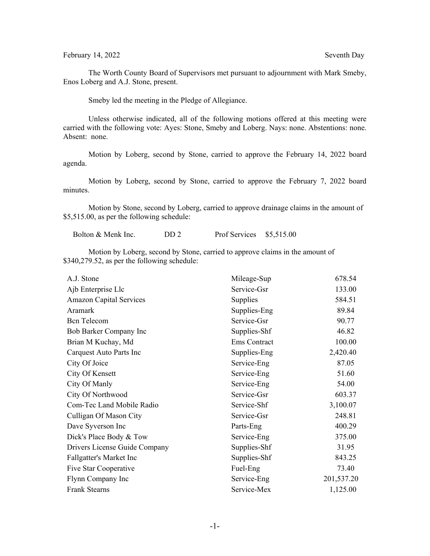## February 14, 2022 Seventh Day

The Worth County Board of Supervisors met pursuant to adjournment with Mark Smeby, Enos Loberg and A.J. Stone, present.

Smeby led the meeting in the Pledge of Allegiance.

Unless otherwise indicated, all of the following motions offered at this meeting were carried with the following vote: Ayes: Stone, Smeby and Loberg. Nays: none. Abstentions: none. Absent: none.

Motion by Loberg, second by Stone, carried to approve the February 14, 2022 board agenda.

Motion by Loberg, second by Stone, carried to approve the February 7, 2022 board minutes.

Motion by Stone, second by Loberg, carried to approve drainage claims in the amount of \$5,515.00, as per the following schedule:

Bolton & Menk Inc. DD 2 Prof Services \$5,515.00

Motion by Loberg, second by Stone, carried to approve claims in the amount of \$340,279.52, as per the following schedule:

| A.J. Stone                     | Mileage-Sup  | 678.54     |
|--------------------------------|--------------|------------|
| Ajb Enterprise Llc             | Service-Gsr  | 133.00     |
| <b>Amazon Capital Services</b> | Supplies     | 584.51     |
| Aramark                        | Supplies-Eng | 89.84      |
| <b>Bcn</b> Telecom             | Service-Gsr  | 90.77      |
| Bob Barker Company Inc         | Supplies-Shf | 46.82      |
| Brian M Kuchay, Md             | Ems Contract | 100.00     |
| Carquest Auto Parts Inc        | Supplies-Eng | 2,420.40   |
| City Of Joice                  | Service-Eng  | 87.05      |
| City Of Kensett                | Service-Eng  | 51.60      |
| City Of Manly                  | Service-Eng  | 54.00      |
| City Of Northwood              | Service-Gsr  | 603.37     |
| Com-Tec Land Mobile Radio      | Service-Shf  | 3,100.07   |
| Culligan Of Mason City         | Service-Gsr  | 248.81     |
| Dave Syverson Inc              | Parts-Eng    | 400.29     |
| Dick's Place Body & Tow        | Service-Eng  | 375.00     |
| Drivers License Guide Company  | Supplies-Shf | 31.95      |
| Fallgatter's Market Inc        | Supplies-Shf | 843.25     |
| Five Star Cooperative          | Fuel-Eng     | 73.40      |
| Flynn Company Inc              | Service-Eng  | 201,537.20 |
| <b>Frank Stearns</b>           | Service-Mex  | 1,125.00   |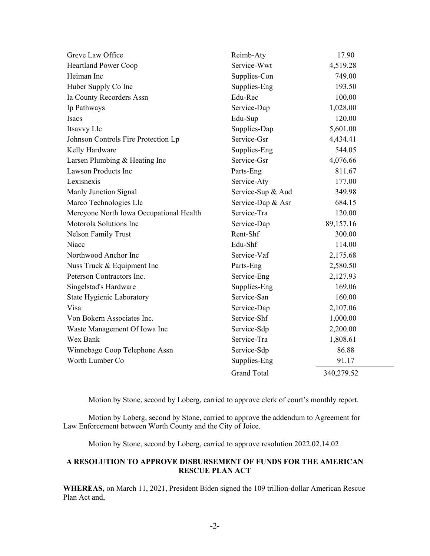| Greve Law Office                        | Reimb-Aty          | 17.90      |
|-----------------------------------------|--------------------|------------|
| <b>Heartland Power Coop</b>             | Service-Wwt        | 4,519.28   |
| Heiman Inc                              | Supplies-Con       | 749.00     |
| Huber Supply Co Inc                     | Supplies-Eng       | 193.50     |
| Ia County Recorders Assn                | Edu-Rec            | 100.00     |
| Ip Pathways                             | Service-Dap        | 1,028.00   |
| Isacs                                   | Edu-Sup            | 120.00     |
| Itsavvy Llc                             | Supplies-Dap       | 5,601.00   |
| Johnson Controls Fire Protection Lp     | Service-Gsr        | 4,434.41   |
| Kelly Hardware                          | Supplies-Eng       | 544.05     |
| Larsen Plumbing & Heating Inc           | Service-Gsr        | 4,076.66   |
| Lawson Products Inc                     | Parts-Eng          | 811.67     |
| Lexisnexis                              | Service-Aty        | 177.00     |
| Manly Junction Signal                   | Service-Sup & Aud  | 349.98     |
| Marco Technologies Llc                  | Service-Dap & Asr  | 684.15     |
| Mercyone North Iowa Occupational Health | Service-Tra        | 120.00     |
| Motorola Solutions Inc                  | Service-Dap        | 89,157.16  |
| <b>Nelson Family Trust</b>              | Rent-Shf           | 300.00     |
| Niacc                                   | Edu-Shf            | 114.00     |
| Northwood Anchor Inc                    | Service-Vaf        | 2,175.68   |
| Nuss Truck & Equipment Inc              | Parts-Eng          | 2,580.50   |
| Peterson Contractors Inc.               | Service-Eng        | 2,127.93   |
| Singelstad's Hardware                   | Supplies-Eng       | 169.06     |
| State Hygienic Laboratory               | Service-San        | 160.00     |
| Visa                                    | Service-Dap        | 2,107.06   |
| Von Bokern Associates Inc.              | Service-Shf        | 1,000.00   |
| Waste Management Of Iowa Inc            | Service-Sdp        | 2,200.00   |
| Wex Bank                                | Service-Tra        | 1,808.61   |
| Winnebago Coop Telephone Assn           | Service-Sdp        | 86.88      |
| Worth Lumber Co                         | Supplies-Eng       | 91.17      |
|                                         | <b>Grand Total</b> | 340,279.52 |

Motion by Stone, second by Loberg, carried to approve clerk of court's monthly report.

Motion by Loberg, second by Stone, carried to approve the addendum to Agreement for Law Enforcement between Worth County and the City of Joice.

Motion by Stone, second by Loberg, carried to approve resolution 2022.02.14.02

## **A RESOLUTION TO APPROVE DISBURSEMENT OF FUNDS FOR THE AMERICAN RESCUE PLAN ACT**

**WHEREAS,** on March 11, 2021, President Biden signed the 109 trillion-dollar American Rescue Plan Act and,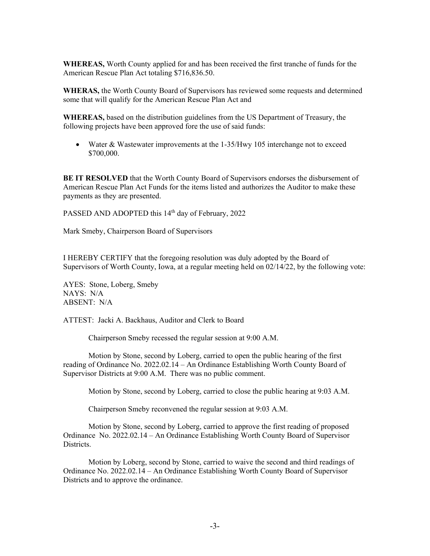**WHEREAS,** Worth County applied for and has been received the first tranche of funds for the American Rescue Plan Act totaling \$716,836.50.

**WHERAS,** the Worth County Board of Supervisors has reviewed some requests and determined some that will qualify for the American Rescue Plan Act and

**WHEREAS,** based on the distribution guidelines from the US Department of Treasury, the following projects have been approved fore the use of said funds:

• Water & Wastewater improvements at the 1-35/Hwy 105 interchange not to exceed \$700,000.

**BE IT RESOLVED** that the Worth County Board of Supervisors endorses the disbursement of American Rescue Plan Act Funds for the items listed and authorizes the Auditor to make these payments as they are presented.

PASSED AND ADOPTED this 14<sup>th</sup> day of February, 2022

Mark Smeby, Chairperson Board of Supervisors

I HEREBY CERTIFY that the foregoing resolution was duly adopted by the Board of Supervisors of Worth County, Iowa, at a regular meeting held on 02/14/22, by the following vote:

AYES: Stone, Loberg, Smeby NAYS: N/A ABSENT: N/A

ATTEST: Jacki A. Backhaus, Auditor and Clerk to Board

Chairperson Smeby recessed the regular session at 9:00 A.M.

Motion by Stone, second by Loberg, carried to open the public hearing of the first reading of Ordinance No. 2022.02.14 – An Ordinance Establishing Worth County Board of Supervisor Districts at 9:00 A.M. There was no public comment.

Motion by Stone, second by Loberg, carried to close the public hearing at 9:03 A.M.

Chairperson Smeby reconvened the regular session at 9:03 A.M.

Motion by Stone, second by Loberg, carried to approve the first reading of proposed Ordinance No. 2022.02.14 – An Ordinance Establishing Worth County Board of Supervisor Districts.

Motion by Loberg, second by Stone, carried to waive the second and third readings of Ordinance No. 2022.02.14 – An Ordinance Establishing Worth County Board of Supervisor Districts and to approve the ordinance.